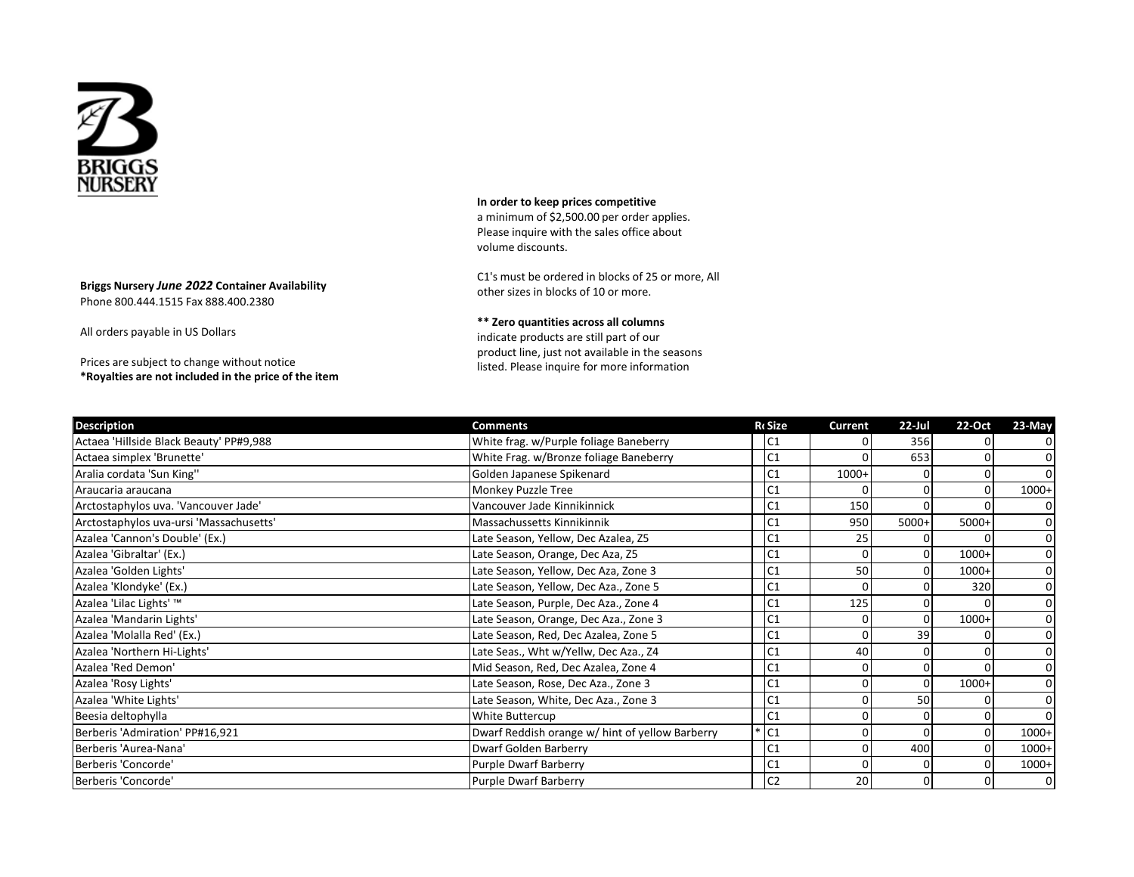

**Briggs Nursery** *June 2022* **Container Availability**  Phone 800.444.1515 Fax 888.400.2380

All orders payable in US Dollars

Prices are subject to change without notice **\*Royalties are not included in the price of the item** **In order to keep prices competitive**

a minimum of \$2,500.00 per order applies. Please inquire with the sales office about volume discounts.

C1's must be ordered in blocks of 25 or more, All other sizes in blocks of 10 or more.

**\*\* Zero quantities across all columns** indicate products are still part of our product line, just not available in the seasons listed. Please inquire for more information

| <b>Description</b>                      | <b>Comments</b>                                 | <b>RcSize</b>  | <b>Current</b> | $22$ -Jul | 22-Oct  | 23-May         |
|-----------------------------------------|-------------------------------------------------|----------------|----------------|-----------|---------|----------------|
| Actaea 'Hillside Black Beauty' PP#9,988 | White frag. w/Purple foliage Baneberry          | C1             |                | 356       |         | 0              |
| Actaea simplex 'Brunette'               | White Frag. w/Bronze foliage Baneberry          | C1             |                | 653       |         |                |
| Aralia cordata 'Sun King''              | Golden Japanese Spikenard                       | C <sub>1</sub> | $1000+$        |           |         |                |
| Araucaria araucana                      | Monkey Puzzle Tree                              | C <sub>1</sub> |                |           |         | $1000+$        |
| Arctostaphylos uva. 'Vancouver Jade'    | Vancouver Jade Kinnikinnick                     | C <sub>1</sub> | 150            |           |         |                |
| Arctostaphylos uva-ursi 'Massachusetts' | Massachussetts Kinnikinnik                      | C <sub>1</sub> | 950            | 5000+     | $5000+$ |                |
| Azalea 'Cannon's Double' (Ex.)          | Late Season, Yellow, Dec Azalea, Z5             | C <sub>1</sub> | 25             |           |         | 0              |
| Azalea 'Gibraltar' (Ex.)                | Late Season, Orange, Dec Aza, Z5                | C1             |                |           | $1000+$ | 0              |
| Azalea 'Golden Lights'                  | Late Season, Yellow, Dec Aza, Zone 3            | C1             | 50             |           | $1000+$ |                |
| Azalea 'Klondyke' (Ex.)                 | Late Season, Yellow, Dec Aza., Zone 5           | C <sub>1</sub> | $\Omega$       |           | 320     | $\Omega$       |
| Azalea 'Lilac Lights' ™                 | Late Season, Purple, Dec Aza., Zone 4           | C1             | 125            |           |         |                |
| Azalea 'Mandarin Lights'                | Late Season, Orange, Dec Aza., Zone 3           | C <sub>1</sub> |                |           | $1000+$ | $\Omega$       |
| Azalea 'Molalla Red' (Ex.)              | Late Season, Red, Dec Azalea, Zone 5            | C1             |                | 39        |         | $\Omega$       |
| Azalea 'Northern Hi-Lights'             | Late Seas., Wht w/Yellw, Dec Aza., Z4           | C <sub>1</sub> | 40             |           |         |                |
| Azalea 'Red Demon'                      | Mid Season, Red, Dec Azalea, Zone 4             | C <sub>1</sub> |                |           |         | 0              |
| Azalea 'Rosy Lights'                    | Late Season, Rose, Dec Aza., Zone 3             | C <sub>1</sub> |                |           | $1000+$ | $\Omega$       |
| Azalea 'White Lights'                   | Late Season, White, Dec Aza., Zone 3            | C <sub>1</sub> |                | 50        |         | $\Omega$       |
| Beesia deltophylla                      | White Buttercup                                 | C <sub>1</sub> |                |           |         | $\Omega$       |
| Berberis 'Admiration' PP#16,921         | Dwarf Reddish orange w/ hint of yellow Barberry | C <sub>1</sub> |                |           |         | $1000+$        |
| Berberis 'Aurea-Nana'                   | Dwarf Golden Barberry                           | C <sub>1</sub> | 0              | 400       |         | $1000+$        |
| Berberis 'Concorde'                     | <b>Purple Dwarf Barberry</b>                    | C1             |                |           |         | $1000+$        |
| Berberis 'Concorde'                     | <b>Purple Dwarf Barberry</b>                    | C <sub>2</sub> | 20             |           |         | $\overline{0}$ |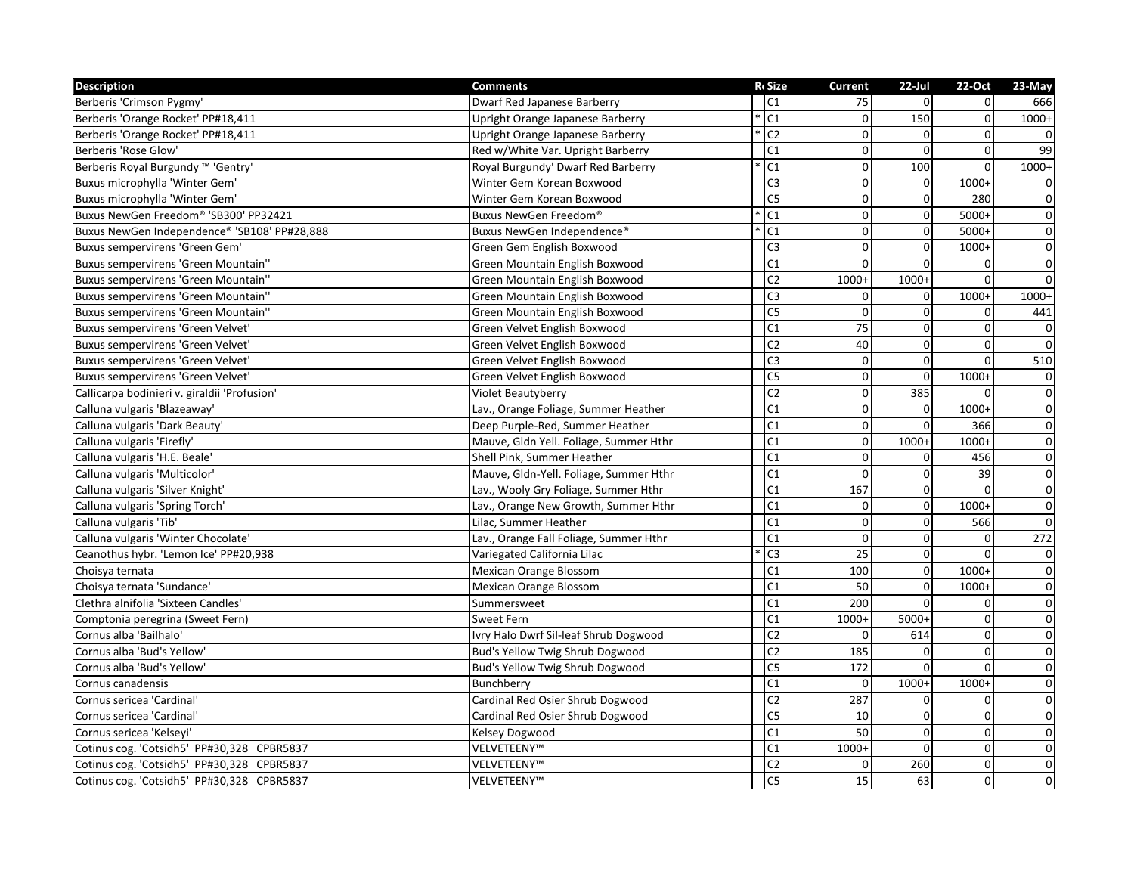| <b>Description</b>                           | <b>Comments</b>                        | <b>RcSize</b>   | <b>Current</b>   | $22$ -Jul      | 22-Oct       | 23-May         |
|----------------------------------------------|----------------------------------------|-----------------|------------------|----------------|--------------|----------------|
| Berberis 'Crimson Pygmy'                     | <b>Dwarf Red Japanese Barberry</b>     | C1              | 75               | $\Omega$       | $\Omega$     | 666            |
| Berberis 'Orange Rocket' PP#18,411           | Upright Orange Japanese Barberry       | C <sub>1</sub>  | 0                | 150            | $\mathbf 0$  | $1000+$        |
| Berberis 'Orange Rocket' PP#18,411           | Upright Orange Japanese Barberry       | $\overline{C2}$ | $\boldsymbol{0}$ | $\mathbf 0$    | $\mathbf 0$  |                |
| Berberis 'Rose Glow'                         | Red w/White Var. Upright Barberry      | C <sub>1</sub>  | $\pmb{0}$        | $\Omega$       | $\Omega$     | 99             |
| Berberis Royal Burgundy ™ 'Gentry'           | Royal Burgundy' Dwarf Red Barberry     | C <sub>1</sub>  | $\mathbf 0$      | 100            | $\Omega$     | $1000+$        |
| Buxus microphylla 'Winter Gem'               | Winter Gem Korean Boxwood              | C <sub>3</sub>  | $\mathbf{0}$     | $\Omega$       | 1000+        | $\Omega$       |
| Buxus microphylla 'Winter Gem'               | Winter Gem Korean Boxwood              | C <sub>5</sub>  | $\mathbf 0$      | $\Omega$       | 280          | $\mathbf 0$    |
| Buxus NewGen Freedom® 'SB300' PP32421        | Buxus NewGen Freedom®                  | C <sub>1</sub>  | $\mathbf 0$      | $\mathbf 0$    | $5000+$      | $\mathbf 0$    |
| Buxus NewGen Independence® 'SB108' PP#28,888 | Buxus NewGen Independence®             | C <sub>1</sub>  | $\mathbf 0$      | $\mathbf{0}$   | $5000+$      | $\overline{0}$ |
| Buxus sempervirens 'Green Gem'               | Green Gem English Boxwood              | C <sub>3</sub>  | $\mathbf 0$      | $\mathbf{0}$   | 1000+        | $\mathbf 0$    |
| <b>Buxus sempervirens 'Green Mountain''</b>  | Green Mountain English Boxwood         | C1              | $\Omega$         | $\Omega$       | $\Omega$     | $\mathbf 0$    |
| <b>Buxus sempervirens 'Green Mountain''</b>  | Green Mountain English Boxwood         | C <sub>2</sub>  | $1000+$          | $1000+$        | $\mathbf 0$  | $\mathbf 0$    |
| Buxus sempervirens 'Green Mountain"          | Green Mountain English Boxwood         | C <sub>3</sub>  | 0                | $\overline{0}$ | 1000+        | $1000+$        |
| Buxus sempervirens 'Green Mountain"          | Green Mountain English Boxwood         | C <sub>5</sub>  | $\Omega$         | $\Omega$       | $\Omega$     | 441            |
| Buxus sempervirens 'Green Velvet'            | Green Velvet English Boxwood           | C1              | 75               | $\Omega$       | $\Omega$     | $\mathbf 0$    |
| Buxus sempervirens 'Green Velvet'            | Green Velvet English Boxwood           | C <sub>2</sub>  | 40               | $\overline{0}$ | $\Omega$     | $\overline{0}$ |
| Buxus sempervirens 'Green Velvet'            | Green Velvet English Boxwood           | $\overline{C3}$ | $\mathbf 0$      | $\mathbf{0}$   | $\Omega$     | 510            |
| Buxus sempervirens 'Green Velvet'            | Green Velvet English Boxwood           | C5              | $\mathbf 0$      | $\mathbf{0}$   | $1000+$      | $\mathbf 0$    |
| Callicarpa bodinieri v. giraldii 'Profusion' | Violet Beautyberry                     | C <sub>2</sub>  | $\pmb{0}$        | 385            | $\Omega$     | $\overline{0}$ |
| Calluna vulgaris 'Blazeaway'                 | Lav., Orange Foliage, Summer Heather   | C <sub>1</sub>  | $\mathbf 0$      | $\Omega$       | 1000+        | $\mathbf 0$    |
| Calluna vulgaris 'Dark Beauty'               | Deep Purple-Red, Summer Heather        | C <sub>1</sub>  | $\pmb{0}$        | $\Omega$       | 366          | $\mathbf 0$    |
| Calluna vulgaris 'Firefly'                   | Mauve, Gldn Yell. Foliage, Summer Hthr | C <sub>1</sub>  | $\mathbf 0$      | $1000+$        | 1000+        | $\mathbf 0$    |
| Calluna vulgaris 'H.E. Beale'                | Shell Pink, Summer Heather             | C <sub>1</sub>  | $\boldsymbol{0}$ | $\mathbf 0$    | 456          | $\mathbf 0$    |
| Calluna vulgaris 'Multicolor'                | Mauve, Gldn-Yell. Foliage, Summer Hthr | C1              | $\mathbf 0$      | $\Omega$       | 39           | $\mathbf 0$    |
| Calluna vulgaris 'Silver Knight'             | Lav., Wooly Gry Foliage, Summer Hthr   | C1              | 167              | $\Omega$       | $\Omega$     | $\pmb{0}$      |
| Calluna vulgaris 'Spring Torch'              | Lav., Orange New Growth, Summer Hthr   | C <sub>1</sub>  | $\mathbf{0}$     | $\mathbf{0}$   | 1000+        | $\mathbf 0$    |
| Calluna vulgaris 'Tib'                       | Lilac, Summer Heather                  | C <sub>1</sub>  | $\mathbf 0$      | $\Omega$       | 566          | $\mathbf 0$    |
| Calluna vulgaris 'Winter Chocolate'          | Lav., Orange Fall Foliage, Summer Hthr | C <sub>1</sub>  | $\mathbf 0$      | $\Omega$       | $\Omega$     | 272            |
| Ceanothus hybr. 'Lemon Ice' PP#20,938        | Variegated California Lilac            | C <sub>3</sub>  | 25               | $\mathbf{0}$   | $\Omega$     | $\mathbf 0$    |
| Choisya ternata                              | Mexican Orange Blossom                 | C <sub>1</sub>  | 100              | $\mathbf{0}$   | 1000+        | $\mathbf 0$    |
| Choisya ternata 'Sundance'                   | <b>Mexican Orange Blossom</b>          | C <sub>1</sub>  | 50               | $\Omega$       | $1000+$      | $\mathbf 0$    |
| Clethra alnifolia 'Sixteen Candles'          | Summersweet                            | C1              | 200              | $\Omega$       | 0            | $\mathbf 0$    |
| Comptonia peregrina (Sweet Fern)             | Sweet Fern                             | C <sub>1</sub>  | $1000+$          | $5000+$        | $\mathbf 0$  | $\mathbf 0$    |
| Cornus alba 'Bailhalo'                       | Ivry Halo Dwrf Sil-leaf Shrub Dogwood  | C <sub>2</sub>  | $\mathbf 0$      | 614            | $\mathbf 0$  | $\mathbf 0$    |
| Cornus alba 'Bud's Yellow'                   | Bud's Yellow Twig Shrub Dogwood        | C <sub>2</sub>  | 185              | $\Omega$       | $\Omega$     | $\mathbf 0$    |
| Cornus alba 'Bud's Yellow'                   | Bud's Yellow Twig Shrub Dogwood        | C <sub>5</sub>  | 172              | $\Omega$       | $\Omega$     | $\mathbf 0$    |
| Cornus canadensis                            | Bunchberry                             | C <sub>1</sub>  | $\Omega$         | $1000+$        | $1000+$      | $\mathbf 0$    |
| Cornus sericea 'Cardinal'                    | Cardinal Red Osier Shrub Dogwood       | C <sub>2</sub>  | 287              | $\Omega$       | $\Omega$     | $\Omega$       |
| Cornus sericea 'Cardinal'                    | Cardinal Red Osier Shrub Dogwood       | C <sub>5</sub>  | 10               | $\mathbf{0}$   | $\mathbf 0$  | $\overline{0}$ |
| Cornus sericea 'Kelseyi'                     | Kelsey Dogwood                         | C <sub>1</sub>  | 50               | $\Omega$       | $\mathbf{0}$ | $\mathbf 0$    |
| Cotinus cog. 'Cotsidh5' PP#30,328 CPBR5837   | VELVETEENY™                            | C <sub>1</sub>  | $1000+$          | $\Omega$       | $\Omega$     | $\mathbf 0$    |
| Cotinus cog. 'Cotsidh5' PP#30,328 CPBR5837   | VELVETEENY™                            | C2              | $\mathbf 0$      | 260            | $\mathbf 0$  | $\mathbf 0$    |
| Cotinus cog. 'Cotsidh5' PP#30,328 CPBR5837   | VELVETEENY™                            | C <sub>5</sub>  | 15               | 63             | 0            | $\mathbf 0$    |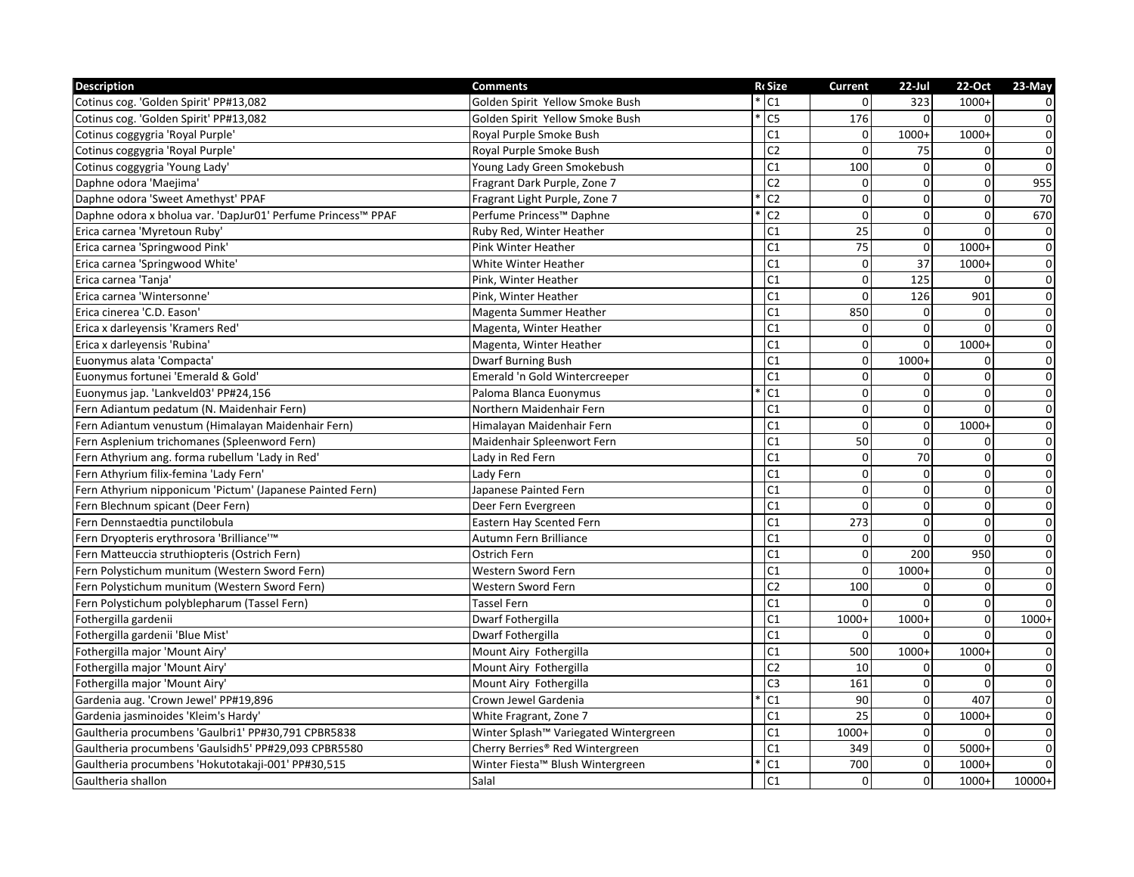| <b>Description</b>                                           | <b>Comments</b>                       | <b>RcSize</b>                     | <b>Current</b>   | $22$ -Jul       | 22-Oct         | 23-May         |
|--------------------------------------------------------------|---------------------------------------|-----------------------------------|------------------|-----------------|----------------|----------------|
| Cotinus cog. 'Golden Spirit' PP#13,082                       | Golden Spirit Yellow Smoke Bush       | $\overline{\cdot}$ C <sub>1</sub> | $\Omega$         | 323             | $1000+$        | $\overline{0}$ |
| Cotinus cog. 'Golden Spirit' PP#13,082                       | Golden Spirit Yellow Smoke Bush       | C <sub>5</sub>                    | 176              | $\Omega$        | $\Omega$       | $\overline{0}$ |
| Cotinus coggygria 'Royal Purple'                             | Royal Purple Smoke Bush               | C1                                | $\overline{0}$   | $1000+$         | $1000+$        | $\overline{0}$ |
| Cotinus coggygria 'Royal Purple'                             | Royal Purple Smoke Bush               | $\overline{C2}$                   | $\mathbf 0$      | 75              | $\Omega$       | $\overline{0}$ |
| Cotinus coggygria 'Young Lady'                               | Young Lady Green Smokebush            | C1                                | 100              | $\Omega$        | $\Omega$       | $\overline{0}$ |
| Daphne odora 'Maejima'                                       | Fragrant Dark Purple, Zone 7          | C <sub>2</sub>                    | $\mathbf 0$      | $\Omega$        | $\mathbf{0}$   | 955            |
| Daphne odora 'Sweet Amethyst' PPAF                           | Fragrant Light Purple, Zone 7         | $\overline{C2}$                   | $\mathbf 0$      | $\Omega$        | $\mathbf{0}$   | 70             |
| Daphne odora x bholua var. 'DapJur01' Perfume Princess™ PPAF | Perfume Princess™ Daphne              | $\overline{C2}$                   | $\mathbf 0$      | $\mathbf{0}$    | $\overline{0}$ | 670            |
| Erica carnea 'Myretoun Ruby'                                 | Ruby Red, Winter Heather              | C1                                | 25               | $\mathbf{0}$    | $\mathbf{0}$   | $\pmb{0}$      |
| Erica carnea 'Springwood Pink'                               | Pink Winter Heather                   | C1                                | 75               | $\mathbf{0}$    | $1000+$        | $\overline{0}$ |
| Erica carnea 'Springwood White'                              | White Winter Heather                  | C1                                | $\mathbf 0$      | 37              | $1000+$        | $\pmb{0}$      |
| Erica carnea 'Tanja'                                         | Pink, Winter Heather                  | C <sub>1</sub>                    | $\boldsymbol{0}$ | 125             | $\mathbf 0$    | $\pmb{0}$      |
| Erica carnea 'Wintersonne'                                   | Pink, Winter Heather                  | C <sub>1</sub>                    | $\mathbf 0$      | 126             | 901            | $\overline{0}$ |
| Erica cinerea 'C.D. Eason'                                   | Magenta Summer Heather                | C <sub>1</sub>                    | 850              | $\Omega$        | $\Omega$       | $\pmb{0}$      |
| Erica x darleyensis 'Kramers Red'                            | Magenta, Winter Heather               | C1                                | 0                | $\Omega$        | $\Omega$       | $\overline{0}$ |
| Erica x darleyensis 'Rubina'                                 | Magenta, Winter Heather               | C1                                | $\overline{0}$   | $\overline{0}$  | $1000+$        | $\overline{0}$ |
| Euonymus alata 'Compacta'                                    | <b>Dwarf Burning Bush</b>             | C <sub>1</sub>                    | $\mathbf 0$      | $1000+$         | 0              | $\overline{0}$ |
| Euonymus fortunei 'Emerald & Gold'                           | Emerald 'n Gold Wintercreeper         | C1                                | 0                | $\Omega$        | 0              | $\overline{0}$ |
| Euonymus jap. 'Lankveld03' PP#24,156                         | Paloma Blanca Euonymus                | C1                                | $\pmb{0}$        | $\Omega$        | $\mathbf{0}$   | $\overline{0}$ |
| Fern Adiantum pedatum (N. Maidenhair Fern)                   | Northern Maidenhair Fern              | C1                                | $\mathbf 0$      | $\Omega$        | $\Omega$       | $\overline{0}$ |
| Fern Adiantum venustum (Himalayan Maidenhair Fern)           | Himalayan Maidenhair Fern             | C <sub>1</sub>                    | $\mathbf 0$      | $\overline{0}$  | $1000+$        | $\pmb{0}$      |
| Fern Asplenium trichomanes (Spleenword Fern)                 | Maidenhair Spleenwort Fern            | C <sub>1</sub>                    | 50               | $\Omega$        | 0              | $\overline{0}$ |
| Fern Athyrium ang. forma rubellum 'Lady in Red'              | Lady in Red Fern                      | C <sub>1</sub>                    | $\mathbf 0$      | $\overline{70}$ | $\mathbf 0$    | $\overline{0}$ |
| Fern Athyrium filix-femina 'Lady Fern'                       | Lady Fern                             | C <sub>1</sub>                    | $\Omega$         | $\Omega$        | $\Omega$       | $\pmb{0}$      |
| Fern Athyrium nipponicum 'Pictum' (Japanese Painted Fern)    | Japanese Painted Fern                 | C1                                | $\mathbf 0$      | $\Omega$        | $\mathbf{0}$   | $\pmb{0}$      |
| Fern Blechnum spicant (Deer Fern)                            | Deer Fern Evergreen                   | C <sub>1</sub>                    | $\mathbf 0$      | $\mathbf 0$     | $\mathbf 0$    | $\overline{0}$ |
| Fern Dennstaedtia punctilobula                               | <b>Eastern Hay Scented Fern</b>       | C <sub>1</sub>                    | 273              | $\Omega$        | $\mathbf 0$    | $\overline{0}$ |
| Fern Dryopteris erythrosora 'Brilliance'™                    | Autumn Fern Brilliance                | C1                                | $\mathbf 0$      | $\Omega$        | $\Omega$       | $\overline{0}$ |
| Fern Matteuccia struthiopteris (Ostrich Fern)                | Ostrich Fern                          | C1                                | $\mathbf 0$      | 200             | 950            | $\overline{0}$ |
| Fern Polystichum munitum (Western Sword Fern)                | Western Sword Fern                    | C1                                | $\Omega$         | $1000+$         | $\mathbf 0$    | $\overline{0}$ |
| Fern Polystichum munitum (Western Sword Fern)                | Western Sword Fern                    | C <sub>2</sub>                    | 100              | $\Omega$        | $\mathbf{0}$   | $\mathbf 0$    |
| Fern Polystichum polyblepharum (Tassel Fern)                 | <b>Tassel Fern</b>                    | C <sub>1</sub>                    | $\Omega$         | $\Omega$        | $\mathbf{0}$   | $\mathbf 0$    |
| Fothergilla gardenii                                         | Dwarf Fothergilla                     | C1                                | 1000+            | $1000+$         | $\mathbf 0$    | $1000+$        |
| Fothergilla gardenii 'Blue Mist'                             | Dwarf Fothergilla                     | C <sub>1</sub>                    | $\Omega$         | $\Omega$        | $\mathbf{0}$   | 0              |
| Fothergilla major 'Mount Airy'                               | Mount Airy Fothergilla                | C1                                | 500              | $1000+$         | $1000+$        | $\pmb{0}$      |
| Fothergilla major 'Mount Airy'                               | Mount Airy Fothergilla                | C <sub>2</sub>                    | 10               | $\mathbf{0}$    | $\mathbf 0$    | $\mathbf 0$    |
| Fothergilla major 'Mount Airy'                               | Mount Airy Fothergilla                | C <sub>3</sub>                    | 161              | $\Omega$        | $\overline{0}$ | $\overline{0}$ |
| Gardenia aug. 'Crown Jewel' PP#19,896                        | Crown Jewel Gardenia                  | C1                                | 90               | $\mathbf{0}$    | 407            | $\pmb{0}$      |
| Gardenia jasminoides 'Kleim's Hardy'                         | White Fragrant, Zone 7                | C1                                | $\overline{25}$  | $\overline{0}$  | $1000+$        | $\overline{0}$ |
| Gaultheria procumbens 'Gaulbri1' PP#30,791 CPBR5838          | Winter Splash™ Variegated Wintergreen | C1                                | 1000+            | $\Omega$        | $\Omega$       | $\pmb{0}$      |
| Gaultheria procumbens 'Gaulsidh5' PP#29,093 CPBR5580         | Cherry Berries® Red Wintergreen       | C1                                | 349              | $\mathbf 0$     | $5000+$        | $\mathbf 0$    |
| Gaultheria procumbens 'Hokutotakaji-001' PP#30,515           | Winter Fiesta™ Blush Wintergreen      | C1                                | 700              | $\overline{0}$  | $1000+$        | $\Omega$       |
| Gaultheria shallon                                           | Salal                                 | $\overline{C1}$                   | $\Omega$         | $\Omega$        | $1000+$        | 10000+         |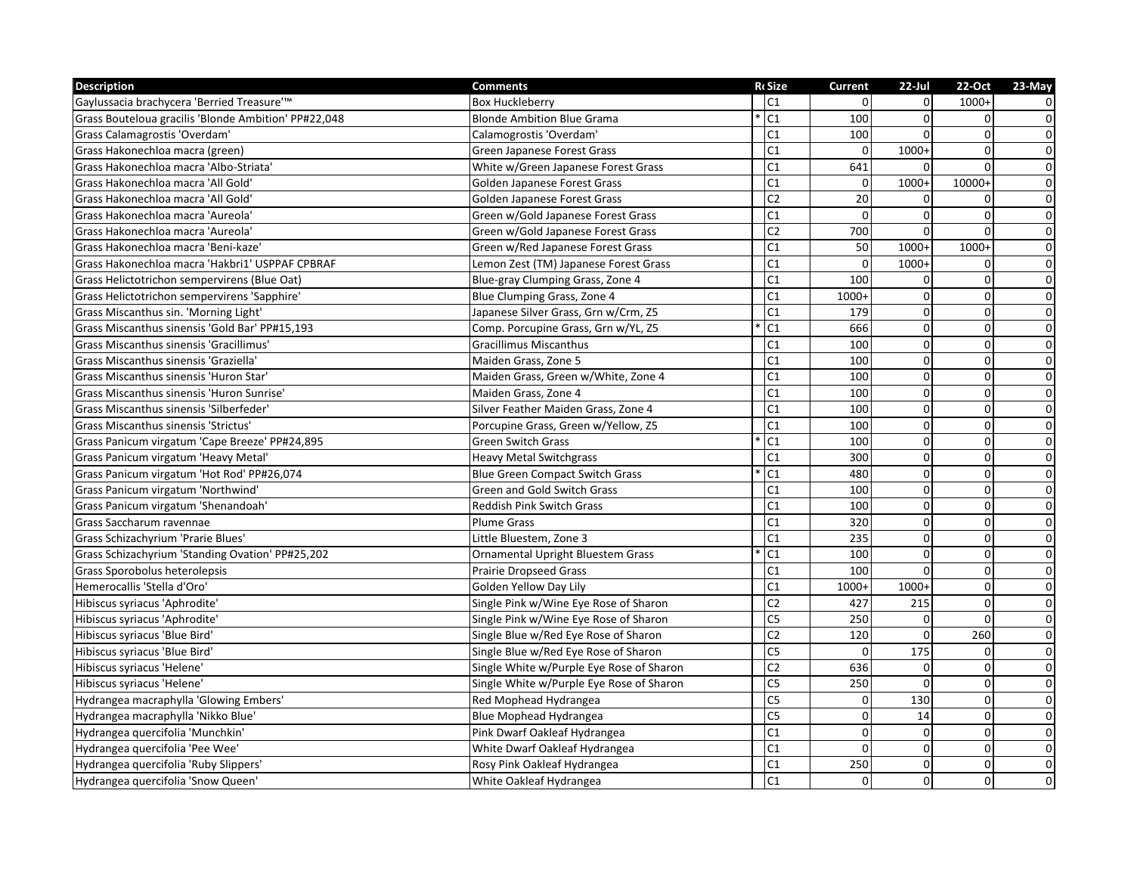| <b>Description</b>                                   | <b>Comments</b>                          | <b>R</b> cSize         | <b>Current</b> | $22$ -Jul      | 22-Oct         | 23-May         |
|------------------------------------------------------|------------------------------------------|------------------------|----------------|----------------|----------------|----------------|
| Gaylussacia brachycera 'Berried Treasure'™           | <b>Box Huckleberry</b>                   | C1                     | $\Omega$       | $\overline{0}$ | $1000+$        | 0              |
| Grass Bouteloua gracilis 'Blonde Ambition' PP#22,048 | <b>Blonde Ambition Blue Grama</b>        | C <sub>1</sub>         | 100            | $\Omega$       | $\Omega$       | $\mathsf 0$    |
| Grass Calamagrostis 'Overdam'                        | Calamogrostis 'Overdam'                  | C1                     | 100            | $\Omega$       | $\Omega$       | $\pmb{0}$      |
| Grass Hakonechloa macra (green)                      | Green Japanese Forest Grass              | C1                     | $\Omega$       | $1000+$        | $\Omega$       | $\overline{0}$ |
| Grass Hakonechloa macra 'Albo-Striata'               | White w/Green Japanese Forest Grass      | C1                     | 641            | $\Omega$       | $\Omega$       | $\overline{0}$ |
| Grass Hakonechloa macra 'All Gold'                   | Golden Japanese Forest Grass             | C1                     | $\mathbf 0$    | $1000+$        | 10000+         | $\overline{0}$ |
| Grass Hakonechloa macra 'All Gold'                   | Golden Japanese Forest Grass             | C <sub>2</sub>         | 20             | $\Omega$       | $\Omega$       | $\pmb{0}$      |
| Grass Hakonechloa macra 'Aureola'                    | Green w/Gold Japanese Forest Grass       | C1                     | $\Omega$       | $\Omega$       | $\Omega$       | $\pmb{0}$      |
| Grass Hakonechloa macra 'Aureola'                    | Green w/Gold Japanese Forest Grass       | C <sub>2</sub>         | 700            | $\mathbf{0}$   | $\mathbf 0$    | $\overline{0}$ |
| Grass Hakonechloa macra 'Beni-kaze'                  | Green w/Red Japanese Forest Grass        | C1                     | 50             | $1000+$        | $1000+$        | $\overline{0}$ |
| Grass Hakonechloa macra 'Hakbri1' USPPAF CPBRAF      | Lemon Zest (TM) Japanese Forest Grass    | C1                     | $\Omega$       | $1000+$        | $\Omega$       | $\overline{0}$ |
| Grass Helictotrichon sempervirens (Blue Oat)         | Blue-gray Clumping Grass, Zone 4         | C1                     | 100            | $\Omega$       | 0              | $\overline{0}$ |
| Grass Helictotrichon sempervirens 'Sapphire'         | Blue Clumping Grass, Zone 4              | C <sub>1</sub>         | 1000+          | $\mathbf 0$    | $\overline{0}$ | $\overline{0}$ |
| Grass Miscanthus sin. 'Morning Light'                | Japanese Silver Grass, Grn w/Crm, Z5     | C <sub>1</sub>         | 179            | $\Omega$       | $\mathbf 0$    | $\overline{0}$ |
| Grass Miscanthus sinensis 'Gold Bar' PP#15,193       | Comp. Porcupine Grass, Grn w/YL, Z5      | C1                     | 666            | $\Omega$       | $\Omega$       | $\overline{0}$ |
| Grass Miscanthus sinensis 'Gracillimus'              | <b>Gracillimus Miscanthus</b>            | C1                     | 100            | $\overline{0}$ | $\mathbf 0$    | $\overline{0}$ |
| Grass Miscanthus sinensis 'Graziella'                | Maiden Grass, Zone 5                     | C1                     | 100            | $\Omega$       | $\Omega$       | $\overline{0}$ |
| Grass Miscanthus sinensis 'Huron Star'               | Maiden Grass, Green w/White, Zone 4      | C1                     | 100            | $\Omega$       | $\Omega$       | $\pmb{0}$      |
| Grass Miscanthus sinensis 'Huron Sunrise'            | Maiden Grass, Zone 4                     | C1                     | 100            | $\Omega$       | $\mathbf 0$    | $\overline{0}$ |
| Grass Miscanthus sinensis 'Silberfeder'              | Silver Feather Maiden Grass, Zone 4      | C <sub>1</sub>         | 100            | $\Omega$       | $\mathbf{0}$   | $\overline{0}$ |
| <b>Grass Miscanthus sinensis 'Strictus'</b>          | Porcupine Grass, Green w/Yellow, Z5      | C <sub>1</sub>         | 100            | $\Omega$       | $\overline{0}$ | $\overline{0}$ |
| Grass Panicum virgatum 'Cape Breeze' PP#24,895       | <b>Green Switch Grass</b>                | C1                     | 100            | $\Omega$       | $\mathbf 0$    | $\overline{0}$ |
| Grass Panicum virgatum 'Heavy Metal'                 | <b>Heavy Metal Switchgrass</b>           | C1                     | 300            | $\mathbf{0}$   | $\mathbf 0$    | $\pmb{0}$      |
| Grass Panicum virgatum 'Hot Rod' PP#26,074           | <b>Blue Green Compact Switch Grass</b>   | C <sub>1</sub>         | 480            | $\Omega$       | $\mathbf 0$    | $\pmb{0}$      |
| Grass Panicum virgatum 'Northwind'                   | Green and Gold Switch Grass              | C <sub>1</sub>         | 100            | $\Omega$       | $\Omega$       | $\overline{0}$ |
| Grass Panicum virgatum 'Shenandoah'                  | <b>Reddish Pink Switch Grass</b>         | C1                     | 100            | $\Omega$       | $\Omega$       | $\overline{0}$ |
| Grass Saccharum ravennae                             | <b>Plume Grass</b>                       | C <sub>1</sub>         | 320            | $\Omega$       | $\mathbf{0}$   | $\overline{0}$ |
| Grass Schizachyrium 'Prarie Blues'                   | Little Bluestem, Zone 3                  | C <sub>1</sub>         | 235            | $\Omega$       | $\mathbf{0}$   | $\overline{0}$ |
| Grass Schizachyrium 'Standing Ovation' PP#25,202     | <b>Ornamental Upright Bluestem Grass</b> | C <sub>1</sub>         | 100            | $\Omega$       | $\mathbf 0$    | $\overline{0}$ |
| Grass Sporobolus heterolepsis                        | <b>Prairie Dropseed Grass</b>            | C1                     | 100            | $\mathbf 0$    | $\mathbf 0$    | $\overline{0}$ |
| Hemerocallis 'Stella d'Oro'                          | Golden Yellow Day Lily                   | C1                     | $1000+$        | $1000+$        | $\mathbf 0$    | $\pmb{0}$      |
| Hibiscus syriacus 'Aphrodite'                        | Single Pink w/Wine Eye Rose of Sharon    | C <sub>2</sub>         | 427            | 215            | $\Omega$       | $\overline{0}$ |
| Hibiscus syriacus 'Aphrodite'                        | Single Pink w/Wine Eye Rose of Sharon    | C <sub>5</sub>         | 250            | $\mathbf{0}$   | $\Omega$       | $\overline{0}$ |
| Hibiscus syriacus 'Blue Bird'                        | Single Blue w/Red Eye Rose of Sharon     | C <sub>2</sub>         | 120            | $\Omega$       | 260            | $\overline{0}$ |
| Hibiscus syriacus 'Blue Bird'                        | Single Blue w/Red Eye Rose of Sharon     | C <sub>5</sub>         | $\Omega$       | 175            | $\Omega$       | $\overline{0}$ |
| Hibiscus syriacus 'Helene'                           | Single White w/Purple Eye Rose of Sharon | C <sub>2</sub>         | 636            | $\Omega$       | $\Omega$       | $\overline{0}$ |
| Hibiscus syriacus 'Helene'                           | Single White w/Purple Eye Rose of Sharon | C5                     | 250            | $\Omega$       | $\mathbf 0$    | $\overline{0}$ |
| Hydrangea macraphylla 'Glowing Embers'               | Red Mophead Hydrangea                    | C5                     | 0              | 130            | $\Omega$       | $\pmb{0}$      |
| Hydrangea macraphylla 'Nikko Blue'                   | <b>Blue Mophead Hydrangea</b>            | $\overline{\text{C5}}$ | $\mathbf 0$    | 14             | $\mathbf 0$    | $\overline{0}$ |
| Hydrangea quercifolia 'Munchkin'                     | Pink Dwarf Oakleaf Hydrangea             | C1                     | $\mathbf 0$    | $\mathbf 0$    | $\mathbf{0}$   | $\overline{0}$ |
| Hydrangea quercifolia 'Pee Wee'                      | White Dwarf Oakleaf Hydrangea            | C <sub>1</sub>         | $\Omega$       | $\Omega$       | $\mathbf 0$    | $\pmb{0}$      |
| Hydrangea quercifolia 'Ruby Slippers'                | Rosy Pink Oakleaf Hydrangea              | C1                     | 250            | $\Omega$       | $\mathbf 0$    | $\pmb{0}$      |
| Hydrangea quercifolia 'Snow Queen'                   | White Oakleaf Hydrangea                  | C <sub>1</sub>         | $\Omega$       | $\overline{0}$ | $\mathbf 0$    | $\mathbf 0$    |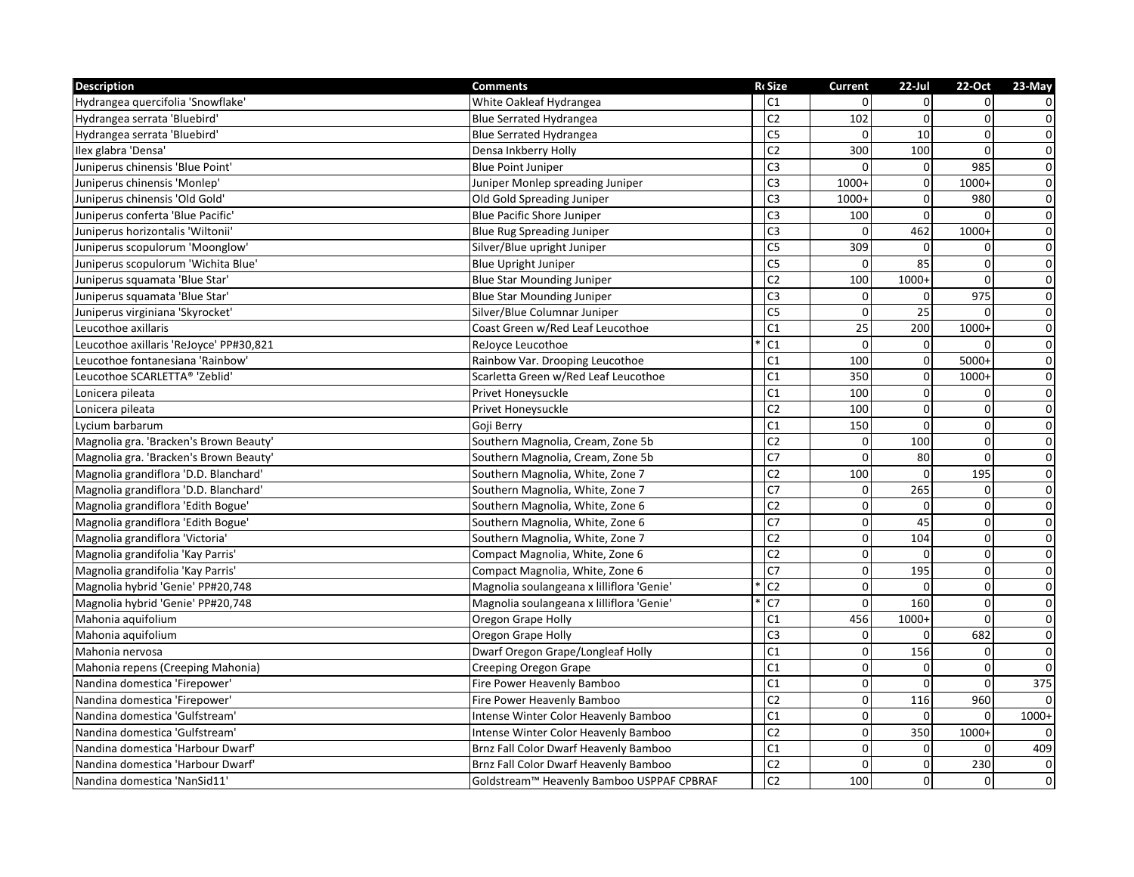| <b>Description</b>                      | <b>Comments</b>                           | <b>R</b> cSize  | <b>Current</b>   | $22$ -Jul      | 22-Oct         | 23-May                  |
|-----------------------------------------|-------------------------------------------|-----------------|------------------|----------------|----------------|-------------------------|
| Hydrangea quercifolia 'Snowflake'       | White Oakleaf Hydrangea                   | C1              | $\Omega$         | $\Omega$       | $\Omega$       | $\overline{0}$          |
| Hydrangea serrata 'Bluebird'            | <b>Blue Serrated Hydrangea</b>            | C <sub>2</sub>  | 102              | $\Omega$       | $\overline{0}$ | $\pmb{0}$               |
| Hydrangea serrata 'Bluebird'            | <b>Blue Serrated Hydrangea</b>            | C <sub>5</sub>  | $\mathbf 0$      | 10             | $\mathbf 0$    | $\overline{0}$          |
| Ilex glabra 'Densa'                     | Densa Inkberry Holly                      | C <sub>2</sub>  | 300              | 100            | $\Omega$       | $\overline{0}$          |
| Juniperus chinensis 'Blue Point'        | <b>Blue Point Juniper</b>                 | C <sub>3</sub>  | $\Omega$         | $\Omega$       | 985            | $\overline{0}$          |
| Juniperus chinensis 'Monlep'            | Juniper Monlep spreading Juniper          | C <sub>3</sub>  | 1000+            | $\overline{0}$ | $1000+$        | $\overline{0}$          |
| Juniperus chinensis 'Old Gold'          | Old Gold Spreading Juniper                | C <sub>3</sub>  | 1000+            | $\Omega$       | 980            | $\mathbf{0}$            |
| Juniperus conferta 'Blue Pacific'       | <b>Blue Pacific Shore Juniper</b>         | C <sub>3</sub>  | 100              | $\Omega$       | $\Omega$       | $\overline{0}$          |
| Juniperus horizontalis 'Wiltonii'       | <b>Blue Rug Spreading Juniper</b>         | C <sub>3</sub>  | $\Omega$         | 462            | $1000+$        | $\overline{0}$          |
| Juniperus scopulorum 'Moonglow'         | Silver/Blue upright Juniper               | C <sub>5</sub>  | 309              | $\Omega$       | $\Omega$       | $\overline{0}$          |
| Juniperus scopulorum 'Wichita Blue'     | <b>Blue Upright Juniper</b>               | C <sub>5</sub>  | $\mathbf 0$      | 85             | $\Omega$       | $\overline{0}$          |
| Juniperus squamata 'Blue Star'          | <b>Blue Star Mounding Juniper</b>         | C <sub>2</sub>  | 100              | $1000+$        | $\mathbf{0}$   | $\overline{0}$          |
| Juniperus squamata 'Blue Star'          | <b>Blue Star Mounding Juniper</b>         | C <sub>3</sub>  | 0                | $\mathbf{0}$   | 975            | $\overline{\mathbf{0}}$ |
| Juniperus virginiana 'Skyrocket'        | Silver/Blue Columnar Juniper              | C <sub>5</sub>  | $\pmb{0}$        | 25             | $\Omega$       | $\mathbf 0$             |
| Leucothoe axillaris                     | Coast Green w/Red Leaf Leucothoe          | C1              | 25               | 200            | $1000+$        | $\overline{\textbf{0}}$ |
| Leucothoe axillaris 'ReJoyce' PP#30,821 | ReJoyce Leucothoe                         | C1              | $\Omega$         | $\overline{0}$ | $\Omega$       | $\overline{0}$          |
| Leucothoe fontanesiana 'Rainbow'        | Rainbow Var. Drooping Leucothoe           | C1              | 100              | $\mathbf{0}$   | $5000+$        | $\overline{0}$          |
| Leucothoe SCARLETTA® 'Zeblid'           | Scarletta Green w/Red Leaf Leucothoe      | C <sub>1</sub>  | 350              | $\mathbf{0}$   | $1000+$        | $\overline{0}$          |
| Lonicera pileata                        | Privet Honeysuckle                        | C <sub>1</sub>  | 100              | $\overline{0}$ | $\mathbf 0$    | $\overline{0}$          |
| Lonicera pileata                        | Privet Honeysuckle                        | C <sub>2</sub>  | 100              | $\Omega$       | $\mathbf{0}$   | $\overline{0}$          |
| Lycium barbarum                         | Goji Berry                                | C1              | 150              | $\Omega$       | $\Omega$       | $\overline{0}$          |
| Magnolia gra. 'Bracken's Brown Beauty'  | Southern Magnolia, Cream, Zone 5b         | C <sub>2</sub>  | 0                | 100            | $\mathbf 0$    | $\overline{0}$          |
| Magnolia gra. 'Bracken's Brown Beauty'  | Southern Magnolia, Cream, Zone 5b         | C <sub>7</sub>  | $\mathbf 0$      | 80             | $\mathbf{0}$   | $\overline{0}$          |
| Magnolia grandiflora 'D.D. Blanchard'   | Southern Magnolia, White, Zone 7          | C <sub>2</sub>  | 100              | $\Omega$       | 195            | $\pmb{0}$               |
| Magnolia grandiflora 'D.D. Blanchard'   | Southern Magnolia, White, Zone 7          | $\overline{C}$  | $\mathbf 0$      | 265            | $\Omega$       | $\overline{0}$          |
| Magnolia grandiflora 'Edith Bogue'      | Southern Magnolia, White, Zone 6          | C <sub>2</sub>  | $\mathbf 0$      | $\Omega$       | $\Omega$       | $\overline{0}$          |
| Magnolia grandiflora 'Edith Bogue'      | Southern Magnolia, White, Zone 6          | C <sub>7</sub>  | $\mathbf 0$      | 45             | $\mathbf 0$    | $\overline{0}$          |
| Magnolia grandiflora 'Victoria'         | Southern Magnolia, White, Zone 7          | $\overline{C2}$ | $\boldsymbol{0}$ | 104            | $\mathbf 0$    | $\overline{0}$          |
| Magnolia grandifolia 'Kay Parris'       | Compact Magnolia, White, Zone 6           | C <sub>2</sub>  | $\pmb{0}$        | $\Omega$       | $\mathbf{0}$   | $\overline{0}$          |
| Magnolia grandifolia 'Kay Parris'       | Compact Magnolia, White, Zone 6           | C7              | $\mathbf 0$      | 195            | $\overline{0}$ | $\overline{0}$          |
| Magnolia hybrid 'Genie' PP#20,748       | Magnolia soulangeana x lilliflora 'Genie' | C <sub>2</sub>  | $\mathbf 0$      | $\Omega$       | $\Omega$       | $\pmb{0}$               |
| Magnolia hybrid 'Genie' PP#20,748       | Magnolia soulangeana x lilliflora 'Genie' | C <sub>7</sub>  | $\mathbf 0$      | 160            | $\mathbf 0$    | $\mathbf{0}$            |
| Mahonia aquifolium                      | Oregon Grape Holly                        | C <sub>1</sub>  | 456              | $1000+$        | $\Omega$       | $\overline{0}$          |
| Mahonia aquifolium                      | Oregon Grape Holly                        | C <sub>3</sub>  | $\boldsymbol{0}$ | $\Omega$       | 682            | $\mathbf 0$             |
| Mahonia nervosa                         | Dwarf Oregon Grape/Longleaf Holly         | $\overline{C1}$ | $\Omega$         | 156            | $\Omega$       | $\overline{0}$          |
| Mahonia repens (Creeping Mahonia)       | Creeping Oregon Grape                     | C1              | $\mathbf 0$      | $\Omega$       | $\Omega$       | $\mathbf 0$             |
| Nandina domestica 'Firepower'           | Fire Power Heavenly Bamboo                | C1              | $\mathbf 0$      | $\Omega$       | $\Omega$       | $\overline{375}$        |
| Nandina domestica 'Firepower'           | Fire Power Heavenly Bamboo                | $\overline{C2}$ | $\mathbf 0$      | 116            | 960            | $\Omega$                |
| Nandina domestica 'Gulfstream'          | Intense Winter Color Heavenly Bamboo      | C1              | $\pmb{0}$        | $\Omega$       | $\Omega$       | $1000+$                 |
| Nandina domestica 'Gulfstream'          | Intense Winter Color Heavenly Bamboo      | $\overline{C2}$ | $\mathbf 0$      | 350            | $1000+$        | $\Omega$                |
| Nandina domestica 'Harbour Dwarf'       | Brnz Fall Color Dwarf Heavenly Bamboo     | C <sub>1</sub>  | $\mathbf 0$      | $\Omega$       | $\Omega$       | 409                     |
| Nandina domestica 'Harbour Dwarf'       | Brnz Fall Color Dwarf Heavenly Bamboo     | C <sub>2</sub>  | $\mathbf 0$      | $\overline{0}$ | 230            | $\pmb{0}$               |
| Nandina domestica 'NanSid11'            | Goldstream™ Heavenly Bamboo USPPAF CPBRAF | C <sub>2</sub>  | 100              | $\overline{0}$ | $\mathbf{0}$   | $\overline{0}$          |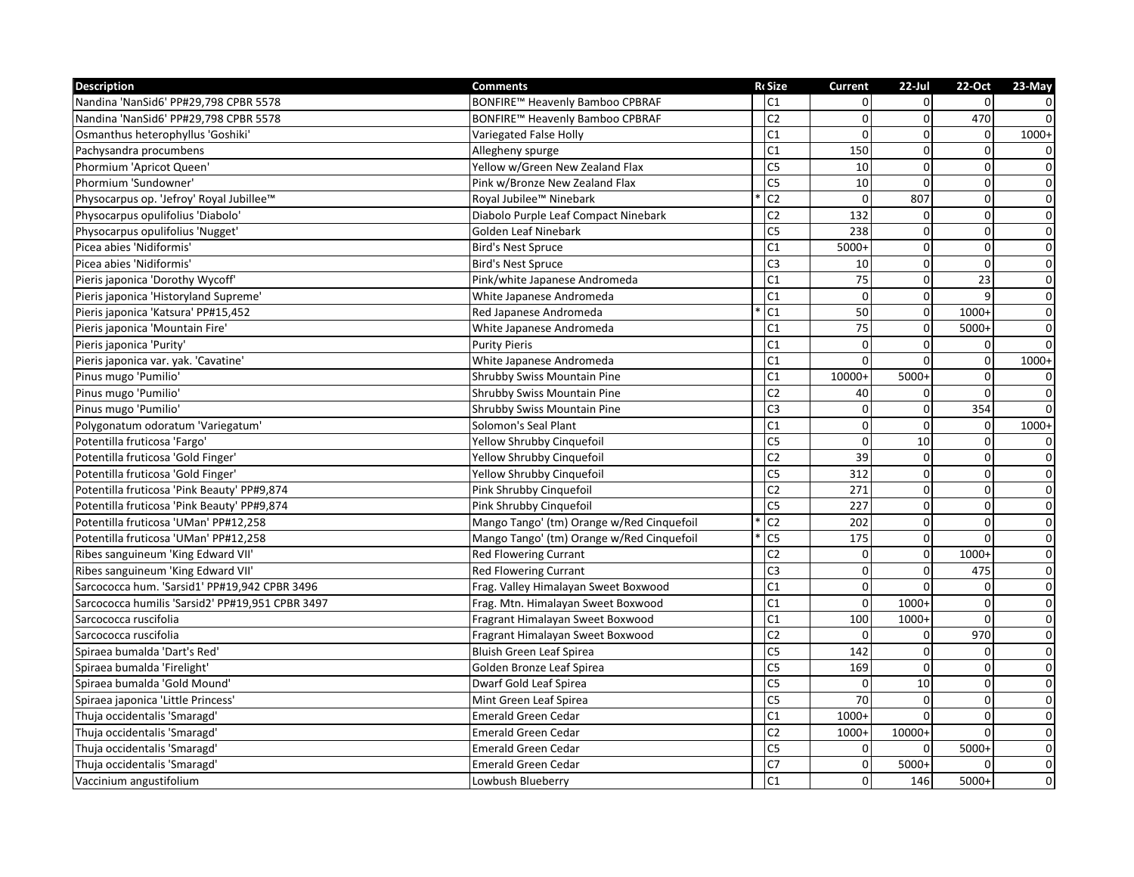| <b>Description</b>                               | <b>Comments</b>                           | <b>R</b> cSize  | Current         | $22$ -Jul    | 22-Oct         | 23-May         |
|--------------------------------------------------|-------------------------------------------|-----------------|-----------------|--------------|----------------|----------------|
| Nandina 'NanSid6' PP#29,798 CPBR 5578            | BONFIRE™ Heavenly Bamboo CPBRAF           | C <sub>1</sub>  | $\Omega$        | $\Omega$     | $\Omega$       | 0              |
| Nandina 'NanSid6' PP#29,798 CPBR 5578            | BONFIRE™ Heavenly Bamboo CPBRAF           | C <sub>2</sub>  | $\mathbf 0$     | $\Omega$     | 470            | $\mathbf 0$    |
| Osmanthus heterophyllus 'Goshiki'                | Variegated False Holly                    | C1              | $\mathbf 0$     | $\mathbf{0}$ | $\mathbf 0$    | $1000+$        |
| Pachysandra procumbens                           | Allegheny spurge                          | C <sub>1</sub>  | 150             | $\Omega$     | $\Omega$       | $\overline{0}$ |
| Phormium 'Apricot Queen'                         | Yellow w/Green New Zealand Flax           | $\overline{C}$  | 10              | $\Omega$     | $\Omega$       | $\overline{0}$ |
| Phormium 'Sundowner'                             | Pink w/Bronze New Zealand Flax            | C <sub>5</sub>  | 10              | $\Omega$     | $\Omega$       | $\overline{0}$ |
| Physocarpus op. 'Jefroy' Royal Jubillee™         | Royal Jubilee™ Ninebark                   | C2              | $\Omega$        | 807          | $\mathbf{0}$   | $\overline{0}$ |
| Physocarpus opulifolius 'Diabolo'                | Diabolo Purple Leaf Compact Ninebark      | C <sub>2</sub>  | 132             | $\mathbf{0}$ | $\overline{0}$ | $\pmb{0}$      |
| Physocarpus opulifolius 'Nugget'                 | Golden Leaf Ninebark                      | C <sub>5</sub>  | 238             | $\Omega$     | $\mathbf{0}$   | $\overline{0}$ |
| Picea abies 'Nidiformis'                         | <b>Bird's Nest Spruce</b>                 | C <sub>1</sub>  | $5000+$         | $\Omega$     | $\mathbf{0}$   | $\mathbf 0$    |
| Picea abies 'Nidiformis'                         | <b>Bird's Nest Spruce</b>                 | C <sub>3</sub>  | 10              | $\mathbf{0}$ | $\Omega$       | $\pmb{0}$      |
| Pieris japonica 'Dorothy Wycoff'                 | Pink/white Japanese Andromeda             | C1              | 75              | $\Omega$     | 23             | $\pmb{0}$      |
| Pieris japonica 'Historyland Supreme'            | White Japanese Andromeda                  | C <sub>1</sub>  | $\Omega$        | $\Omega$     | 9              | $\overline{0}$ |
| Pieris japonica 'Katsura' PP#15,452              | Red Japanese Andromeda                    | C <sub>1</sub>  | 50              | $\Omega$     | $1000+$        | $\overline{0}$ |
| Pieris japonica 'Mountain Fire'                  | White Japanese Andromeda                  | C1              | $\overline{75}$ | $\mathbf 0$  | $5000+$        | $\overline{0}$ |
| Pieris japonica 'Purity'                         | <b>Purity Pieris</b>                      | C1              | $\Omega$        | $\Omega$     | $\Omega$       | $\Omega$       |
| Pieris japonica var. yak. 'Cavatine'             | White Japanese Andromeda                  | C1              | $\Omega$        | $\Omega$     | $\mathbf{0}$   | $1000+$        |
| Pinus mugo 'Pumilio'                             | <b>Shrubby Swiss Mountain Pine</b>        | C1              | 10000+          | 5000+        | 0              | 0              |
| Pinus mugo 'Pumilio'                             | Shrubby Swiss Mountain Pine               | C <sub>2</sub>  | 40              | $\Omega$     | $\mathbf{0}$   | $\overline{0}$ |
| Pinus mugo 'Pumilio'                             | Shrubby Swiss Mountain Pine               | C <sub>3</sub>  | $\mathbf 0$     | $\mathbf 0$  | 354            | $\Omega$       |
| Polygonatum odoratum 'Variegatum'                | Solomon's Seal Plant                      | C <sub>1</sub>  | $\Omega$        | $\Omega$     | $\Omega$       | $1000+$        |
| Potentilla fruticosa 'Fargo'                     | Yellow Shrubby Cinguefoil                 | C <sub>5</sub>  | $\Omega$        | 10           | $\Omega$       | $\overline{0}$ |
| Potentilla fruticosa 'Gold Finger'               | Yellow Shrubby Cinquefoil                 | $\overline{C2}$ | 39              | $\mathbf 0$  | $\mathbf{0}$   | $\mathbf 0$    |
| Potentilla fruticosa 'Gold Finger'               | Yellow Shrubby Cinquefoil                 | C <sub>5</sub>  | 312             | $\Omega$     | $\mathbf 0$    | $\pmb{0}$      |
| Potentilla fruticosa 'Pink Beauty' PP#9,874      | Pink Shrubby Cinquefoil                   | C <sub>2</sub>  | 271             | $\Omega$     | $\Omega$       | $\mathbf 0$    |
| Potentilla fruticosa 'Pink Beauty' PP#9,874      | Pink Shrubby Cinquefoil                   | C <sub>5</sub>  | 227             | $\mathbf{0}$ | $\mathbf{0}$   | $\overline{0}$ |
| Potentilla fruticosa 'UMan' PP#12,258            | Mango Tango' (tm) Orange w/Red Cinquefoil | C <sub>2</sub>  | 202             | $\Omega$     | 0              | $\pmb{0}$      |
| Potentilla fruticosa 'UMan' PP#12,258            | Mango Tango' (tm) Orange w/Red Cinquefoil | $\overline{C}$  | 175             | $\Omega$     | $\Omega$       | $\pmb{0}$      |
| Ribes sanguineum 'King Edward VII'               | <b>Red Flowering Currant</b>              | C <sub>2</sub>  | 0               | $\Omega$     | $1000+$        | $\overline{0}$ |
| Ribes sanguineum 'King Edward VII'               | <b>Red Flowering Currant</b>              | C <sub>3</sub>  | $\mathbf 0$     | $\Omega$     | 475            | $\overline{0}$ |
| Sarcococca hum. 'Sarsid1' PP#19,942 CPBR 3496    | Frag. Valley Himalayan Sweet Boxwood      | C <sub>1</sub>  | $\mathbf{0}$    | $\Omega$     | $\Omega$       | $\overline{0}$ |
| Sarcococca humilis 'Sarsid2' PP#19,951 CPBR 3497 | Frag. Mtn. Himalayan Sweet Boxwood        | C <sub>1</sub>  | $\mathbf 0$     | $1000+$      | $\mathbf 0$    | $\pmb{0}$      |
| Sarcococca ruscifolia                            | Fragrant Himalayan Sweet Boxwood          | C <sub>1</sub>  | 100             | 1000+        | $\mathbf{0}$   | $\overline{0}$ |
| Sarcococca ruscifolia                            | Fragrant Himalayan Sweet Boxwood          | C <sub>2</sub>  | $\Omega$        | $\Omega$     | 970            | $\overline{0}$ |
| Spiraea bumalda 'Dart's Red'                     | Bluish Green Leaf Spirea                  | C <sub>5</sub>  | 142             | $\Omega$     | $\Omega$       | $\pmb{0}$      |
| Spiraea bumalda 'Firelight'                      | Golden Bronze Leaf Spirea                 | C <sub>5</sub>  | 169             | $\mathbf{0}$ | $\Omega$       | $\pmb{0}$      |
| Spiraea bumalda 'Gold Mound'                     | Dwarf Gold Leaf Spirea                    | C <sub>5</sub>  | $\Omega$        | 10           | $\Omega$       | $\pmb{0}$      |
| Spiraea japonica 'Little Princess'               | Mint Green Leaf Spirea                    | C <sub>5</sub>  | 70              | $\Omega$     | $\mathbf{0}$   | $\mathbf 0$    |
| Thuja occidentalis 'Smaragd'                     | <b>Emerald Green Cedar</b>                | C1              | $1000+$         | $\Omega$     | $\mathbf{0}$   | $\overline{0}$ |
| Thuja occidentalis 'Smaragd'                     | <b>Emerald Green Cedar</b>                | C <sub>2</sub>  | $1000+$         | 10000+       | $\Omega$       | $\overline{0}$ |
| Thuja occidentalis 'Smaragd'                     | <b>Emerald Green Cedar</b>                | C <sub>5</sub>  | $\mathbf 0$     | $\Omega$     | $5000+$        | $\pmb{0}$      |
| Thuja occidentalis 'Smaragd'                     | <b>Emerald Green Cedar</b>                | C <sub>7</sub>  | $\mathbf 0$     | $5000+$      | $\Omega$       | $\pmb{0}$      |
| Vaccinium angustifolium                          | Lowbush Blueberry                         | C1              | $\overline{0}$  | 146          | $5000+$        | $\pmb{0}$      |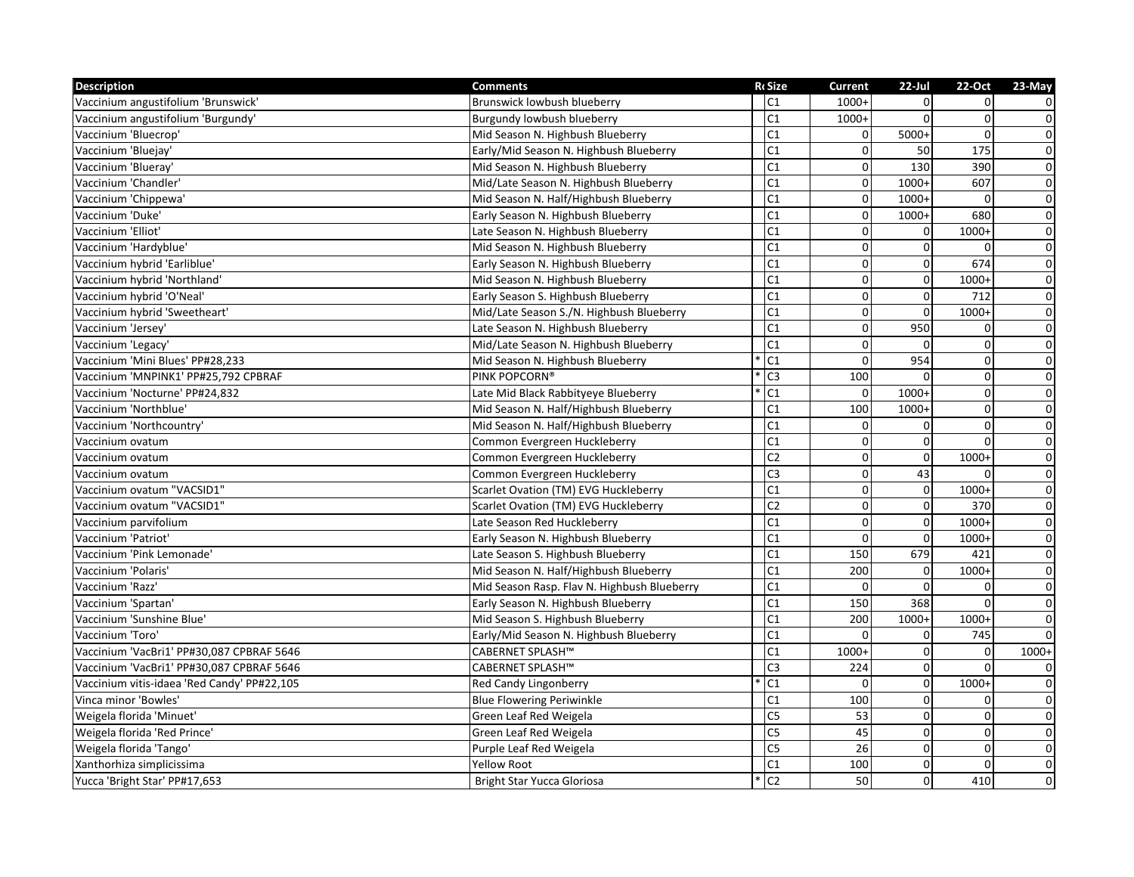| <b>Description</b>                          | <b>Comments</b>                             | <b>R</b> cSize | <b>Current</b>   | $22$ -Jul      | 22-Oct         | 23-May         |
|---------------------------------------------|---------------------------------------------|----------------|------------------|----------------|----------------|----------------|
| Vaccinium angustifolium 'Brunswick'         | Brunswick lowbush blueberry                 | C <sub>1</sub> | $1000+$          | $\Omega$       | $\Omega$       | 0              |
| Vaccinium angustifolium 'Burgundy'          | Burgundy lowbush blueberry                  | C1             | $1000+$          | $\Omega$       | 0              | $\mathsf 0$    |
| Vaccinium 'Bluecrop'                        | Mid Season N. Highbush Blueberry            | C1             | $\mathbf 0$      | $5000+$        | $\Omega$       | $\pmb{0}$      |
| Vaccinium 'Bluejay'                         | Early/Mid Season N. Highbush Blueberry      | C <sub>1</sub> | $\mathbf 0$      | 50             | 175            | $\overline{0}$ |
| Vaccinium 'Blueray'                         | Mid Season N. Highbush Blueberry            | C1             | $\mathbf 0$      | 130            | 390            | $\overline{0}$ |
| Vaccinium 'Chandler'                        | Mid/Late Season N. Highbush Blueberry       | C <sub>1</sub> | $\mathbf 0$      | $1000+$        | 607            | $\overline{0}$ |
| Vaccinium 'Chippewa'                        | Mid Season N. Half/Highbush Blueberry       | C <sub>1</sub> | $\mathbf 0$      | $1000+$        | $\Omega$       | $\pmb{0}$      |
| Vaccinium 'Duke'                            | Early Season N. Highbush Blueberry          | C <sub>1</sub> | $\mathbf 0$      | 1000+          | 680            | $\pmb{0}$      |
| Vaccinium 'Elliot'                          | Late Season N. Highbush Blueberry           | C1             | $\mathbf 0$      | $\overline{0}$ | 1000+          | $\overline{0}$ |
| Vaccinium 'Hardyblue'                       | Mid Season N. Highbush Blueberry            | C <sub>1</sub> | $\boldsymbol{0}$ | $\Omega$       | $\Omega$       | $\mathbf 0$    |
| Vaccinium hybrid 'Earliblue'                | Early Season N. Highbush Blueberry          | C <sub>1</sub> | $\mathbf 0$      | $\Omega$       | 674            | $\overline{0}$ |
| Vaccinium hybrid 'Northland'                | Mid Season N. Highbush Blueberry            | C <sub>1</sub> | $\mathbf 0$      | $\Omega$       | $1000+$        | $\overline{0}$ |
| Vaccinium hybrid 'O'Neal'                   | Early Season S. Highbush Blueberry          | C <sub>1</sub> | $\pmb{0}$        | $\mathbf 0$    | 712            | $\overline{0}$ |
| Vaccinium hybrid 'Sweetheart'               | Mid/Late Season S./N. Highbush Blueberry    | C <sub>1</sub> | $\pmb{0}$        | $\Omega$       | $1000+$        | $\overline{0}$ |
| Vaccinium 'Jersey'                          | Late Season N. Highbush Blueberry           | C <sub>1</sub> | $\mathbf 0$      | 950            | $\Omega$       | $\overline{0}$ |
| Vaccinium 'Legacy'                          | Mid/Late Season N. Highbush Blueberry       | C1             | $\mathbf 0$      | $\Omega$       | $\overline{0}$ | $\overline{0}$ |
| Vaccinium 'Mini Blues' PP#28,233            | Mid Season N. Highbush Blueberry            | C <sub>1</sub> | $\Omega$         | 954            | $\mathbf{0}$   | $\overline{0}$ |
| Vaccinium 'MNPINK1' PP#25.792 CPBRAF        | PINK POPCORN®                               | C <sub>3</sub> | 100              | $\Omega$       | $\Omega$       | $\pmb{0}$      |
| Vaccinium 'Nocturne' PP#24,832              | Late Mid Black Rabbityeye Blueberry         | C1             | $\Omega$         | 1000+          | $\mathbf{0}$   | $\overline{0}$ |
| Vaccinium 'Northblue'                       | Mid Season N. Half/Highbush Blueberry       | C <sub>1</sub> | 100              | $1000+$        | $\mathbf 0$    | $\overline{0}$ |
| Vaccinium 'Northcountry'                    | Mid Season N. Half/Highbush Blueberry       | C <sub>1</sub> | $\mathbf 0$      | $\Omega$       | $\Omega$       | $\pmb{0}$      |
| Vaccinium ovatum                            | Common Evergreen Huckleberry                | C <sub>1</sub> | $\mathbf 0$      | $\Omega$       | $\Omega$       | $\overline{0}$ |
| Vaccinium ovatum                            | Common Evergreen Huckleberry                | C <sub>2</sub> | $\mathbf 0$      | $\overline{0}$ | $1000+$        | $\pmb{0}$      |
| Vaccinium ovatum                            | Common Evergreen Huckleberry                | C <sub>3</sub> | $\boldsymbol{0}$ | 43             | $\Omega$       | $\pmb{0}$      |
| Vaccinium ovatum "VACSID1"                  | Scarlet Ovation (TM) EVG Huckleberry        | C <sub>1</sub> | $\mathbf 0$      | $\Omega$       | $1000+$        | $\overline{0}$ |
| Vaccinium ovatum "VACSID1"                  | Scarlet Ovation (TM) EVG Huckleberry        | C <sub>2</sub> | $\mathbf 0$      | $\Omega$       | 370            | $\overline{0}$ |
| Vaccinium parvifolium                       | Late Season Red Huckleberry                 | C <sub>1</sub> | $\Omega$         | $\Omega$       | $1000+$        | $\overline{0}$ |
| Vaccinium 'Patriot'                         | Early Season N. Highbush Blueberry          | C <sub>1</sub> | $\mathbf 0$      | $\mathbf{0}$   | $1000+$        | $\overline{0}$ |
| Vaccinium 'Pink Lemonade'                   | Late Season S. Highbush Blueberry           | C <sub>1</sub> | 150              | 679            | 421            | $\pmb{0}$      |
| Vaccinium 'Polaris'                         | Mid Season N. Half/Highbush Blueberry       | C <sub>1</sub> | 200              | $\overline{0}$ | $1000+$        | $\overline{0}$ |
| Vaccinium 'Razz'                            | Mid Season Rasp. Flav N. Highbush Blueberry | C <sub>1</sub> | $\Omega$         | $\Omega$       | $\Omega$       | $\pmb{0}$      |
| Vaccinium 'Spartan'                         | Early Season N. Highbush Blueberry          | C <sub>1</sub> | 150              | 368            | $\Omega$       | $\overline{0}$ |
| Vaccinium 'Sunshine Blue'                   | Mid Season S. Highbush Blueberry            | C1             | 200              | $1000+$        | $1000+$        | $\pmb{0}$      |
| Vaccinium 'Toro'                            | Early/Mid Season N. Highbush Blueberry      | C <sub>1</sub> | $\Omega$         | $\Omega$       | 745            | $\mathbf 0$    |
| Vaccinium 'VacBri1' PP#30,087 CPBRAF 5646   | CABERNET SPLASH™                            | C <sub>1</sub> | $1000+$          | $\mathbf{0}$   | $\mathbf 0$    | $1000+$        |
| Vaccinium 'VacBri1' PP#30,087 CPBRAF 5646   | CABERNET SPLASH™                            | C <sub>3</sub> | 224              | $\Omega$       | $\Omega$       | 0              |
| Vaccinium vitis-idaea 'Red Candy' PP#22,105 | Red Candy Lingonberry                       | C <sub>1</sub> | $\Omega$         | $\mathbf{0}$   | $1000+$        | $\overline{0}$ |
| Vinca minor 'Bowles'                        | <b>Blue Flowering Periwinkle</b>            | C1             | 100              | $\Omega$       | $\Omega$       | $\pmb{0}$      |
| Weigela florida 'Minuet'                    | Green Leaf Red Weigela                      | C <sub>5</sub> | 53               | $\Omega$       | $\mathbf 0$    | $\overline{0}$ |
| Weigela florida 'Red Prince'                | Green Leaf Red Weigela                      | $\overline{C}$ | 45               | $\Omega$       | $\mathbf 0$    | $\overline{0}$ |
| Weigela florida 'Tango'                     | Purple Leaf Red Weigela                     | C <sub>5</sub> | 26               | $\Omega$       | $\mathbf 0$    | $\pmb{0}$      |
| Xanthorhiza simplicissima                   | <b>Yellow Root</b>                          | C <sub>1</sub> | 100              | $\Omega$       | $\Omega$       | $\mathbf 0$    |
| Yucca 'Bright Star' PP#17,653               | Bright Star Yucca Gloriosa                  | C <sub>2</sub> | 50               | $\overline{0}$ | 410            | $\mathbf 0$    |